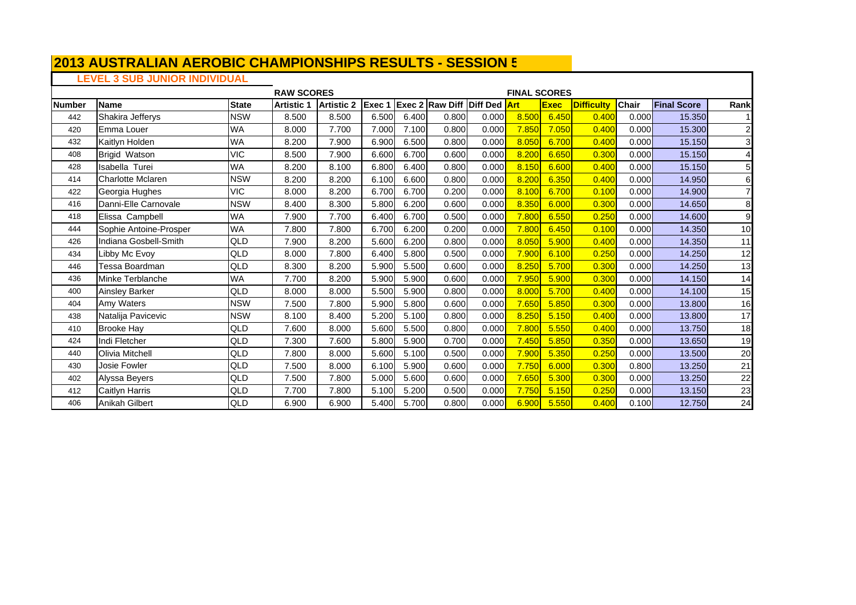# **LEVEL 3 SUB JUNIOR INDIVIDUAL**

|               |                        |              | <b>RAW SCORES</b> |                   |        |       |                                     |       | <b>FINAL SCORES</b> |             |                   |              |                    |                 |
|---------------|------------------------|--------------|-------------------|-------------------|--------|-------|-------------------------------------|-------|---------------------|-------------|-------------------|--------------|--------------------|-----------------|
| <b>Number</b> | Name                   | <b>State</b> | <b>Artistic 1</b> | <b>Artistic 2</b> | Exec 1 |       | <b>Exec 2 Raw Diff Diff Ded Art</b> |       |                     | <b>Exec</b> | <b>Difficulty</b> | <b>Chair</b> | <b>Final Score</b> | Rank            |
| 442           | Shakira Jefferys       | <b>NSW</b>   | 8.500             | 8.500             | 6.500  | 6.400 | 0.800                               | 0.000 | 8.500               | 6.450       | 0.400             | 0.000        | 15.350             |                 |
| 420           | Emma Louer             | <b>WA</b>    | 8.000             | 7.700             | 7.000  | 7.100 | 0.800                               | 0.000 | 7.850               | 7.050       | 0.400             | 0.000        | 15.300             | $\overline{a}$  |
| 432           | Kaitlyn Holden         | <b>WA</b>    | 8.200             | 7.900             | 6.900  | 6.500 | 0.800                               | 0.000 | 8.050               | 6.700       | 0.400             | 0.000        | 15.150             | $\overline{3}$  |
| 408           | <b>Brigid Watson</b>   | <b>VIC</b>   | 8.500             | 7.900             | 6.600  | 6.700 | 0.600                               | 0.000 | 8.200               | 6.650       | 0.300             | 0.000        | 15.150             | 4               |
| 428           | Isabella Turei         | <b>WA</b>    | 8.200             | 8.100             | 6.800  | 6.400 | 0.800                               | 0.000 | 8.150               | 6.600       | 0.400             | 0.000        | 15.150             | 5 <sub>5</sub>  |
| 414           | Charlotte Mclaren      | <b>NSW</b>   | 8.200             | 8.200             | 6.100  | 6.600 | 0.800                               | 0.000 | 8.200               | 6.350       | 0.400             | 0.000        | 14.950             | 6               |
| 422           | Georgia Hughes         | <b>VIC</b>   | 8.000             | 8.200             | 6.700  | 6.700 | 0.200                               | 0.000 | 8.100               | 6.700       | 0.100             | 0.000        | 14.900             | $\overline{7}$  |
| 416           | Danni-Elle Carnovale   | <b>NSW</b>   | 8.400             | 8.300             | 5.800  | 6.200 | 0.600                               | 0.000 | 8.350               | 6.000       | 0.300             | 0.000        | 14.650             | 8               |
| 418           | Elissa Campbell        | <b>WA</b>    | 7.900             | 7.700             | 6.400  | 6.700 | 0.500                               | 0.000 | 7.800               | 6.550       | 0.250             | 0.000        | 14.600             | $\overline{9}$  |
| 444           | Sophie Antoine-Prosper | <b>WA</b>    | 7.800             | 7.800             | 6.700  | 6.200 | 0.200                               | 0.000 | 7.800               | 6.450       | 0.100             | 0.000        | 14.350             | 10              |
| 426           | Indiana Gosbell-Smith  | QLD          | 7.900             | 8.200             | 5.600  | 6.200 | 0.800                               | 0.000 | 8.050               | 5.900       | 0.400             | 0.000        | 14.350             | 11              |
| 434           | ∟ibby Mc Evoy          | QLD          | 8.000             | 7.800             | 6.400  | 5.800 | 0.500                               | 0.000 | 7.900               | 6.100       | 0.250             | 0.000        | 14.250             | 12              |
| 446           | Tessa Boardman         | QLD          | 8.300             | 8.200             | 5.900  | 5.500 | 0.600                               | 0.000 | 8.250               | 5.700       | 0.300             | 0.000        | 14.250             | 13              |
| 436           | Minke Terblanche       | <b>WA</b>    | 7.700             | 8.200             | 5.900  | 5.900 | 0.600                               | 0.000 | 7.950               | 5.900       | 0.300             | 0.000        | 14.150             | 14              |
| 400           | <b>Ainsley Barker</b>  | QLD          | 8.000             | 8.000             | 5.500  | 5.900 | 0.800                               | 0.000 | 8.000               | 5.700       | 0.400             | 0.000        | 14.100             | 15              |
| 404           | Amy Waters             | <b>NSW</b>   | 7.500             | 7.800             | 5.900  | 5.800 | 0.600                               | 0.000 | 7.650               | 5.850       | 0.300             | 0.000        | 13,800             | 16              |
| 438           | Natalija Pavicevic     | <b>NSW</b>   | 8.100             | 8.400             | 5.200  | 5.100 | 0.800                               | 0.000 | 8.250               | 5.150       | 0.400             | 0.000        | 13.800             | $\overline{17}$ |
| 410           | <b>Brooke Hay</b>      | QLD          | 7.600             | 8.000             | 5.600  | 5.500 | 0.800                               | 0.000 | 7.800               | 5.550       | 0.400             | 0.000        | 13.750             | 18              |
| 424           | Indi Fletcher          | QLD          | 7.300             | 7.600             | 5.800  | 5.900 | 0.700                               | 0.000 | 7.450               | 5.850       | 0.350             | 0.000        | 13.650             | 19              |
| 440           | Olivia Mitchell        | QLD          | 7.800             | 8.000             | 5.600  | 5.100 | 0.500                               | 0.000 | 7.900               | 5.350       | 0.250             | 0.000        | 13.500             | 20              |
| 430           | Josie Fowler           | QLD          | 7.500             | 8.000             | 6.100  | 5.900 | 0.600                               | 0.000 | 7.750               | 6.000       | 0.300             | 0.800        | 13.250             | 21              |
| 402           | Alyssa Beyers          | QLD          | 7.500             | 7.800             | 5.000  | 5.600 | 0.600                               | 0.000 | 7.650               | 5.300       | 0.300             | 0.000        | 13.250             | $\overline{22}$ |
| 412           | <b>Caitlyn Harris</b>  | QLD          | 7.700             | 7.800             | 5.100  | 5.200 | 0.500                               | 0.000 | 7.750               | 5.150       | 0.250             | 0.000        | 13.150             | 23              |
| 406           | Anikah Gilbert         | QLD          | 6.900             | 6.900             | 5.400  | 5.700 | 0.800                               | 0.000 | 6.900               | 5.550       | 0.400             | 0.100        | 12.750             | 24              |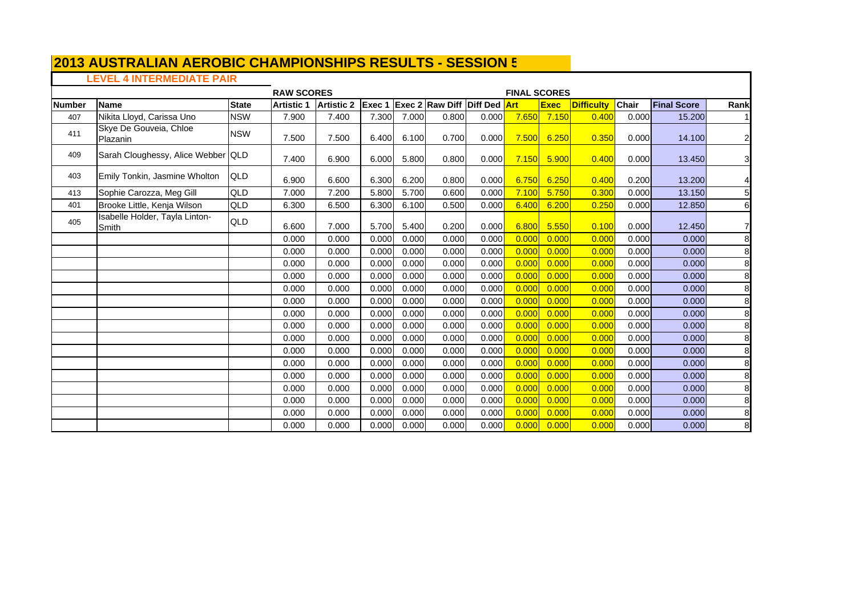## **LEVEL 4 INTERMEDIATE PAIR**

|               |                                         |              |                   | <b>RAW SCORES</b><br><b>FINAL SCORES</b><br><b>Exec 2 Raw Diff Diff Ded Art</b> |        |       |       |       |       |             |                   |              |                    |                         |  |
|---------------|-----------------------------------------|--------------|-------------------|---------------------------------------------------------------------------------|--------|-------|-------|-------|-------|-------------|-------------------|--------------|--------------------|-------------------------|--|
| <b>Number</b> | <b>Name</b>                             | <b>State</b> | <b>Artistic 1</b> | <b>Artistic 2</b>                                                               | Exec 1 |       |       |       |       | <b>Exec</b> | <b>Difficulty</b> | <b>Chair</b> | <b>Final Score</b> | Rank                    |  |
| 407           | Nikita Lloyd, Carissa Uno               | <b>NSW</b>   | 7.900             | 7.400                                                                           | 7.300  | 7.000 | 0.800 | 0.000 | 7.650 | 7.150       | 0.400             | 0.000        | 15.200             |                         |  |
| 411           | Skye De Gouveia, Chloe<br>Plazanin      | <b>NSW</b>   | 7.500             | 7.500                                                                           | 6.400  | 6.100 | 0.700 | 0.000 | 7.500 | 6.250       | 0.350             | 0.000        | 14.100             | $\overline{\mathbf{c}}$ |  |
| 409           | Sarah Cloughessy, Alice Webber QLD      |              | 7.400             | 6.900                                                                           | 6.000  | 5.800 | 0.800 | 0.000 | 7.150 | 5.900       | 0.400             | 0.000        | 13.450             | 3                       |  |
| 403           | Emily Tonkin, Jasmine Wholton           | <b>QLD</b>   | 6.900             | 6.600                                                                           | 6.300  | 6.200 | 0.800 | 0.000 | 6.750 | 6.250       | 0.400             | 0.200        | 13.200             | 4                       |  |
| 413           | Sophie Carozza, Meg Gill                | QLD          | 7.000             | 7.200                                                                           | 5.800  | 5.700 | 0.600 | 0.000 | 7.100 | 5.750       | 0.300             | 0.000        | 13.150             | 5                       |  |
| 401           | Brooke Little, Kenja Wilson             | QLD          | 6.300             | 6.500                                                                           | 6.300  | 6.100 | 0.500 | 0.000 | 6.400 | 6.200       | 0.250             | 0.000        | 12.850             | 6                       |  |
| 405           | Isabelle Holder, Tayla Linton-<br>Smith | QLD          | 6.600             | 7.000                                                                           | 5.700  | 5.400 | 0.200 | 0.000 | 6.800 | 5.550       | 0.100             | 0.000        | 12.450             | 7                       |  |
|               |                                         |              | 0.000             | 0.000                                                                           | 0.000  | 0.000 | 0.000 | 0.000 | 0.000 | 0.000       | 0.000             | 0.000        | 0.000              | 8                       |  |
|               |                                         |              | 0.000             | 0.000                                                                           | 0.000  | 0.000 | 0.000 | 0.000 | 0.000 | 0.000       | 0.000             | 0.000        | 0.000              | 8                       |  |
|               |                                         |              | 0.000             | 0.000                                                                           | 0.000  | 0.000 | 0.000 | 0.000 | 0.000 | 0.000       | 0.000             | 0.000        | 0.000              | 8                       |  |
|               |                                         |              | 0.000             | 0.000                                                                           | 0.000  | 0.000 | 0.000 | 0.000 | 0.000 | 0.000       | 0.000             | 0.000        | 0.000              | 8                       |  |
|               |                                         |              | 0.000             | 0.000                                                                           | 0.000  | 0.000 | 0.000 | 0.000 | 0.000 | 0.000       | 0.000             | 0.000        | 0.000              | 8                       |  |
|               |                                         |              | 0.000             | 0.000                                                                           | 0.000  | 0.000 | 0.000 | 0.000 | 0.000 | 0.000       | 0.000             | 0.000        | 0.000              | 8                       |  |
|               |                                         |              | 0.000             | 0.000                                                                           | 0.000  | 0.000 | 0.000 | 0.000 | 0.000 | 0.000       | 0.000             | 0.000        | 0.000              | 8                       |  |
|               |                                         |              | 0.000             | 0.000                                                                           | 0.000  | 0.000 | 0.000 | 0.000 | 0.000 | 0.000       | 0.000             | 0.000        | 0.000              | 8                       |  |
|               |                                         |              | 0.000             | 0.000                                                                           | 0.000  | 0.000 | 0.000 | 0.000 | 0.000 | 0.000       | 0.000             | 0.000        | 0.000              | 8                       |  |
|               |                                         |              | 0.000             | 0.000                                                                           | 0.000  | 0.000 | 0.000 | 0.000 | 0.000 | 0.000       | 0.000             | 0.000        | 0.000              | 8                       |  |
|               |                                         |              | 0.000             | 0.000                                                                           | 0.000  | 0.000 | 0.000 | 0.000 | 0.000 | 0.000       | 0.000             | 0.000        | 0.000              | 8                       |  |
|               |                                         |              | 0.000             | 0.000                                                                           | 0.000  | 0.000 | 0.000 | 0.000 | 0.000 | 0.000       | 0.000             | 0.000        | 0.000              | 8                       |  |
|               |                                         |              | 0.000             | 0.000                                                                           | 0.000  | 0.000 | 0.000 | 0.000 | 0.000 | 0.000       | 0.000             | 0.000        | 0.000              | 8                       |  |
|               |                                         |              | 0.000             | 0.000                                                                           | 0.000  | 0.000 | 0.000 | 0.000 | 0.000 | 0.000       | 0.000             | 0.000        | 0.000              | 8                       |  |
|               |                                         |              | 0.000             | 0.000                                                                           | 0.000  | 0.000 | 0.000 | 0.000 | 0.000 | 0.000       | 0.000             | 0.000        | 0.000              | 8                       |  |
|               |                                         |              | 0.000             | 0.000                                                                           | 0.000  | 0.000 | 0.000 | 0.000 | 0.000 | 0.000       | 0.000             | 0.000        | 0.000              | 8                       |  |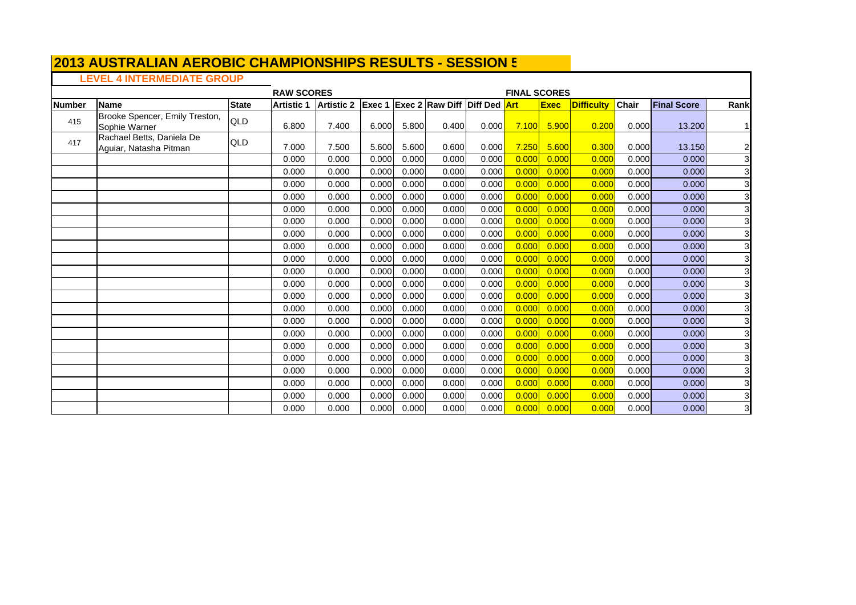#### **2013 AUSTRALIAN AEROBIC CHAMPIONSHIPS RESULTS - SESSION 5**  $\blacksquare$

# **LEVEL 4 INTERMEDIATE GROUP**

|               |                                                     |              | <b>RAW SCORES</b> |                   |        |       |                                     |       | <b>FINAL SCORES</b> |             |                   |              |                    |                         |
|---------------|-----------------------------------------------------|--------------|-------------------|-------------------|--------|-------|-------------------------------------|-------|---------------------|-------------|-------------------|--------------|--------------------|-------------------------|
| <b>Number</b> | Name                                                | <b>State</b> | <b>Artistic 1</b> | <b>Artistic 2</b> | Exec 1 |       | <b>Exec 2 Raw Diff Diff Ded Art</b> |       |                     | <b>Exec</b> | <b>Difficulty</b> | <b>Chair</b> | <b>Final Score</b> | Rank                    |
| 415           | Brooke Spencer, Emily Treston,<br>Sophie Warner     | QLD          | 6.800             | 7.400             | 6.000  | 5.800 | 0.400                               | 0.000 | 7.100               | 5.900       | 0.200             | 0.000        | 13.200             |                         |
| 417           | Rachael Betts, Daniela De<br>Aguiar, Natasha Pitman | QLD          | 7.000             | 7.500             | 5.600  | 5.600 | 0.600                               | 0.000 | 7.250               | 5.600       | 0.300             | 0.000        | 13.150             | $\overline{\mathbf{c}}$ |
|               |                                                     |              | 0.000             | 0.000             | 0.000  | 0.000 | 0.000                               | 0.000 | 0.000               | 0.000       | 0.000             | 0.000        | 0.000              | 3                       |
|               |                                                     |              | 0.000             | 0.000             | 0.000  | 0.000 | 0.000                               | 0.000 | 0.000               | 0.000       | 0.000             | 0.000        | 0.000              | 3                       |
|               |                                                     |              | 0.000             | 0.000             | 0.000  | 0.000 | 0.000                               | 0.000 | 0.000               | 0.000       | 0.000             | 0.000        | 0.000              | 3                       |
|               |                                                     |              | 0.000             | 0.000             | 0.000  | 0.000 | 0.000                               | 0.000 | 0.000               | 0.000       | 0.000             | 0.000        | 0.000              | $\mathbf{3}$            |
|               |                                                     |              | 0.000             | 0.000             | 0.000  | 0.000 | 0.000                               | 0.000 | 0.000               | 0.000       | 0.000             | 0.000        | 0.000              | 3                       |
|               |                                                     |              | 0.000             | 0.000             | 0.000  | 0.000 | 0.000                               | 0.000 | 0.000               | 0.000       | 0.000             | 0.000        | 0.000              | 3                       |
|               |                                                     |              | 0.000             | 0.000             | 0.000  | 0.000 | 0.000                               | 0.000 | 0.000               | 0.000       | 0.000             | 0.000        | 0.000              | 3                       |
|               |                                                     |              | 0.000             | 0.000             | 0.000  | 0.000 | 0.000                               | 0.000 | 0.000               | 0.000       | 0.000             | 0.000        | 0.000              | 3                       |
|               |                                                     |              | 0.000             | 0.000             | 0.000  | 0.000 | 0.000                               | 0.000 | 0.000               | 0.000       | 0.000             | 0.000        | 0.000              | 3                       |
|               |                                                     |              | 0.000             | 0.000             | 0.000  | 0.000 | 0.000                               | 0.000 | 0.000               | 0.000       | 0.000             | 0.000        | 0.000              | 3                       |
|               |                                                     |              | 0.000             | 0.000             | 0.000  | 0.000 | 0.000                               | 0.000 | 0.000               | 0.000       | 0.000             | 0.000        | 0.000              | 3                       |
|               |                                                     |              | 0.000             | 0.000             | 0.000  | 0.000 | 0.000                               | 0.000 | 0.000               | 0.000       | 0.000             | 0.000        | 0.000              | 3                       |
|               |                                                     |              | 0.000             | 0.000             | 0.000  | 0.000 | 0.000                               | 0.000 | 0.000               | 0.000       | 0.000             | 0.000        | 0.000              | 3                       |
|               |                                                     |              | 0.000             | 0.000             | 0.000  | 0.000 | 0.000                               | 0.000 | 0.000               | 0.000       | 0.000             | 0.000        | 0.000              | $\overline{3}$          |
|               |                                                     |              | 0.000             | 0.000             | 0.000  | 0.000 | 0.000                               | 0.000 | 0.000               | 0.000       | 0.000             | 0.000        | 0.000              | 3                       |
|               |                                                     |              | 0.000             | 0.000             | 0.000  | 0.000 | 0.000                               | 0.000 | 0.000               | 0.000       | 0.000             | 0.000        | 0.000              | 3                       |
|               |                                                     |              | 0.000             | 0.000             | 0.000  | 0.000 | 0.000                               | 0.000 | 0.000               | 0.000       | 0.000             | 0.000        | 0.000              | 3                       |
|               |                                                     |              | 0.000             | 0.000             | 0.000  | 0.000 | 0.000                               | 0.000 | 0.000               | 0.000       | 0.000             | 0.000        | 0.000              | $\mathbf{3}$            |
|               |                                                     |              | 0.000             | 0.000             | 0.000  | 0.000 | 0.000                               | 0.000 | 0.000               | 0.000       | 0.000             | 0.000        | 0.000              | 3                       |
|               |                                                     |              | 0.000             | 0.000             | 0.000  | 0.000 | 0.000                               | 0.000 | 0.000               | 0.000       | 0.000             | 0.000        | 0.000              | 3                       |
|               |                                                     |              | 0.000             | 0.000             | 0.000  | 0.000 | 0.000                               | 0.000 | 0.000               | 0.000       | 0.000             | 0.000        | 0.000              | 3                       |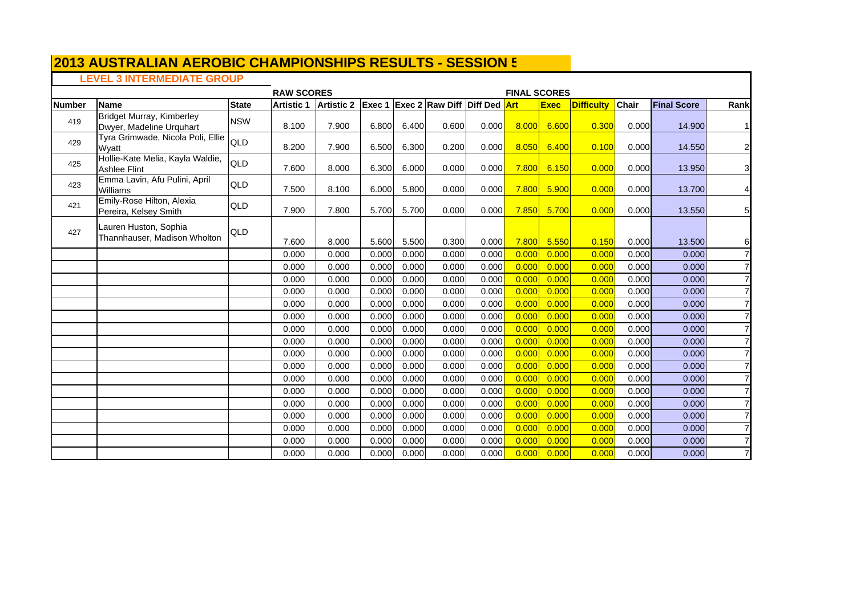# **LEVEL 3 INTERMEDIATE GROUP**

|               | $T = T$ , $T = T$ , $T = T$ , $T = T$ , $T = T$         |              | <b>RAW SCORES</b> |                   |        |       |                                     | <b>FINAL SCORES</b> |       |             |                   |              |                    |                |
|---------------|---------------------------------------------------------|--------------|-------------------|-------------------|--------|-------|-------------------------------------|---------------------|-------|-------------|-------------------|--------------|--------------------|----------------|
| <b>Number</b> | <b>Name</b>                                             | <b>State</b> | <b>Artistic 1</b> | <b>Artistic 2</b> | Exec 1 |       | <b>Exec 2 Raw Diff Diff Ded Art</b> |                     |       | <b>Exec</b> | <b>Difficulty</b> | <b>Chair</b> | <b>Final Score</b> | Rank           |
| 419           | Bridget Murray, Kimberley<br>Dwyer, Madeline Urquhart   | <b>NSW</b>   | 8.100             | 7.900             | 6.800  | 6.400 | 0.600                               | 0.000               | 8.000 | 6.600       | 0.300             | 0.000        | 14.900             | 11             |
| 429           | Tyra Grimwade, Nicola Poli, Ellie<br>Wyatt              | <b>QLD</b>   | 8.200             | 7.900             | 6.500  | 6.300 | 0.200                               | 0.000               | 8.050 | 6.400       | 0.100             | 0.000        | 14.550             | $\mathbf{2}$   |
| 425           | Hollie-Kate Melia, Kayla Waldie,<br><b>Ashlee Flint</b> | <b>QLD</b>   | 7.600             | 8.000             | 6.300  | 6.000 | 0.000                               | 0.000               | 7.800 | 6.150       | 0.000             | 0.000        | 13.950             | $\mathbf{3}$   |
| 423           | Emma Lavin, Afu Pulini, April<br>Williams               | QLD          | 7.500             | 8.100             | 6.000  | 5.800 | 0.000                               | 0.000               | 7.800 | 5.900       | 0.000             | 0.000        | 13.700             | $\vert$        |
| 421           | Emily-Rose Hilton, Alexia<br>Pereira, Kelsey Smith      | QLD          | 7.900             | 7.800             | 5.700  | 5.700 | 0.000                               | 0.000               | 7.850 | 5.700       | 0.000             | 0.000        | 13.550             | 5 <sub>l</sub> |
| 427           | Lauren Huston, Sophia<br>Thannhauser, Madison Wholton   | QLD          | 7.600             | 8.000             | 5.600  | 5.500 | 0.300                               | 0.000               | 7.800 | 5.550       | 0.150             | 0.000        | 13.500             | 6              |
|               |                                                         |              | 0.000             | 0.000             | 0.000  | 0.000 | 0.000                               | 0.000               | 0.000 | 0.000       | 0.000             | 0.000        | 0.000              | $\overline{7}$ |
|               |                                                         |              | 0.000             | 0.000             | 0.000  | 0.000 | 0.000                               | 0.000               | 0.000 | 0.000       | 0.000             | 0.000        | 0.000              |                |
|               |                                                         |              | 0.000             | 0.000             | 0.000  | 0.000 | 0.000                               | 0.000               | 0.000 | 0.000       | 0.000             | 0.000        | 0.000              |                |
|               |                                                         |              | 0.000             | 0.000             | 0.000  | 0.000 | 0.000                               | 0.000               | 0.000 | 0.000       | 0.000             | 0.000        | 0.000              |                |
|               |                                                         |              | 0.000             | 0.000             | 0.000  | 0.000 | 0.000                               | 0.000               | 0.000 | 0.000       | 0.000             | 0.000        | 0.000              |                |
|               |                                                         |              | 0.000             | 0.000             | 0.000  | 0.000 | 0.000                               | 0.000               | 0.000 | 0.000       | 0.000             | 0.000        | 0.000              |                |
|               |                                                         |              | 0.000             | 0.000             | 0.000  | 0.000 | 0.000                               | 0.000               | 0.000 | 0.000       | 0.000             | 0.000        | 0.000              |                |
|               |                                                         |              | 0.000             | 0.000             | 0.000  | 0.000 | 0.000                               | 0.000               | 0.000 | 0.000       | 0.000             | 0.000        | 0.000              |                |
|               |                                                         |              | 0.000             | 0.000             | 0.000  | 0.000 | 0.000                               | 0.000               | 0.000 | 0.000       | 0.000             | 0.000        | 0.000              |                |
|               |                                                         |              | 0.000             | 0.000             | 0.000  | 0.000 | 0.000                               | 0.000               | 0.000 | 0.000       | 0.000             | 0.000        | 0.000              |                |
|               |                                                         |              | 0.000             | 0.000             | 0.000  | 0.000 | 0.000                               | 0.000               | 0.000 | 0.000       | 0.000             | 0.000        | 0.000              |                |
|               |                                                         |              | 0.000             | 0.000             | 0.000  | 0.000 | 0.000                               | 0.000               | 0.000 | 0.000       | 0.000             | 0.000        | 0.000              |                |
|               |                                                         |              | 0.000             | 0.000             | 0.000  | 0.000 | 0.000                               | 0.000               | 0.000 | 0.000       | 0.000             | 0.000        | 0.000              |                |
|               |                                                         |              | 0.000             | 0.000             | 0.000  | 0.000 | 0.000                               | 0.000               | 0.000 | 0.000       | 0.000             | 0.000        | 0.000              |                |
|               |                                                         |              | 0.000             | 0.000             | 0.000  | 0.000 | 0.000                               | 0.000               | 0.000 | 0.000       | 0.000             | 0.000        | 0.000              |                |
|               |                                                         |              | 0.000             | 0.000             | 0.000  | 0.000 | 0.000                               | 0.000               | 0.000 | 0.000       | 0.000             | 0.000        | 0.000              |                |
|               |                                                         |              | 0.000             | 0.000             | 0.000  | 0.000 | 0.000                               | 0.000               | 0.000 | 0.000       | 0.000             | 0.000        | 0.000              | $\overline{7}$ |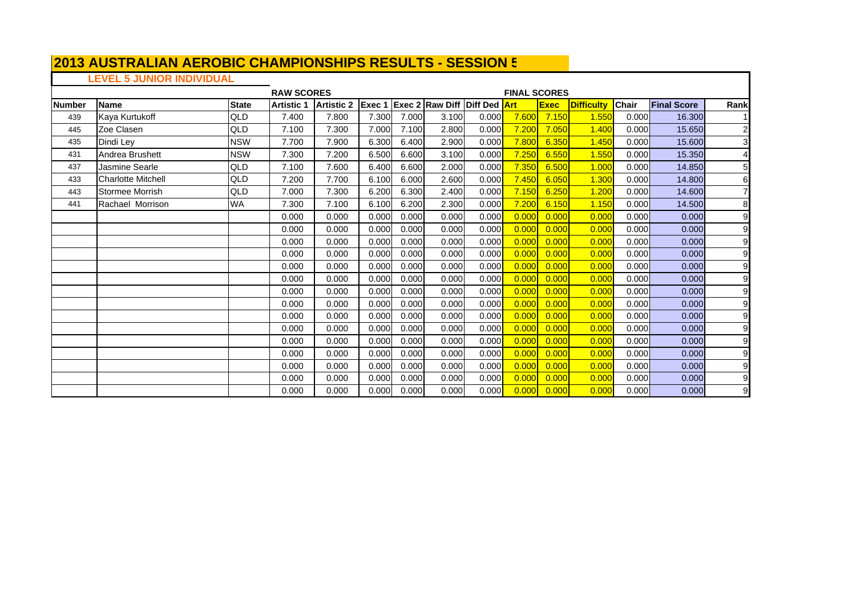# **LEVEL 5 JUNIOR INDIVIDUAL**

|        |                           |              | <b>RAW SCORES</b> |                   |                |       |                                     |       | <b>FINAL SCORES</b> |             |                   |              |                    |                         |
|--------|---------------------------|--------------|-------------------|-------------------|----------------|-------|-------------------------------------|-------|---------------------|-------------|-------------------|--------------|--------------------|-------------------------|
| Number | Name                      | <b>State</b> | <b>Artistic 1</b> | <b>Artistic 2</b> | <b>IExec 1</b> |       | <b>Exec 2 Raw Diff Diff Ded Art</b> |       |                     | <b>Exec</b> | <b>Difficulty</b> | <b>Chair</b> | <b>Final Score</b> | Rank                    |
| 439    | Kaya Kurtukoff            | QLD          | 7.400             | 7.800             | 7.300          | 7.000 | 3.100                               | 0.000 | 7.600               | 7.150       | 1.550             | 0.000        | 16.300             |                         |
| 445    | Zoe Clasen                | QLD          | 7.100             | 7.300             | 7.000          | 7.100 | 2.800                               | 0.000 | 7.200               | 7.050       | 1.400             | 0.000        | 15.650             | $\overline{\mathbf{c}}$ |
| 435    | Dindi Ley                 | <b>NSW</b>   | 7.700             | 7.900             | 6.300          | 6.400 | 2.900                               | 0.000 | 7.800               | 6.350       | 1.450             | 0.000        | 15.600             | $\overline{3}$          |
| 431    | Andrea Brushett           | <b>NSW</b>   | 7.300             | 7.200             | 6.500          | 6.600 | 3.100                               | 0.000 | 7.250               | 6.550       | 1.550             | 0.000        | 15.350             | $\overline{4}$          |
| 437    | Jasmine Searle            | <b>QLD</b>   | 7.100             | 7.600             | 6.400          | 6.600 | 2.000                               | 0.000 | 7.350               | 6.500       | 1.000             | 0.000        | 14.850             | 5                       |
| 433    | <b>Charlotte Mitchell</b> | QLD          | 7.200             | 7.700             | 6.100          | 6.000 | 2.600                               | 0.000 | 7.450               | 6.050       | 1.300             | 0.000        | 14.800             | 6                       |
| 443    | Stormee Morrish           | QLD          | 7.000             | 7.300             | 6.200          | 6.300 | 2.400                               | 0.000 | 7.150               | 6.250       | 1.200             | 0.000        | 14.600             | $\overline{7}$          |
| 441    | Rachael Morrison          | <b>WA</b>    | 7.300             | 7.100             | 6.100          | 6.200 | 2.300                               | 0.000 | 7.200               | 6.150       | 1.150             | 0.000        | 14.500             | 8                       |
|        |                           |              | 0.000             | 0.000             | 0.000          | 0.000 | 0.000                               | 0.000 | 0.000               | 0.000       | 0.000             | 0.000        | 0.000              | 9                       |
|        |                           |              | 0.000             | 0.000             | 0.000          | 0.000 | 0.000                               | 0.000 | 0.000               | 0.000       | 0.000             | 0.000        | 0.000              | $\boldsymbol{9}$        |
|        |                           |              | 0.000             | 0.000             | 0.000          | 0.000 | 0.000                               | 0.000 | 0.000               | 0.000       | 0.000             | 0.000        | 0.000              | 9                       |
|        |                           |              | 0.000             | 0.000             | 0.000          | 0.000 | 0.000                               | 0.000 | 0.000               | 0.000       | 0.000             | 0.000        | 0.000              | 9                       |
|        |                           |              | 0.000             | 0.000             | 0.000          | 0.000 | 0.000                               | 0.000 | 0.000               | 0.000       | 0.000             | 0.000        | 0.000              | 9                       |
|        |                           |              | 0.000             | 0.000             | 0.000          | 0.000 | 0.000                               | 0.000 | 0.000               | 0.000       | 0.000             | 0.000        | 0.000              | 9                       |
|        |                           |              | 0.000             | 0.000             | 0.000          | 0.000 | 0.000                               | 0.000 | 0.000               | 0.000       | 0.000             | 0.000        | 0.000              | $\boldsymbol{9}$        |
|        |                           |              | 0.000             | 0.000             | 0.000          | 0.000 | 0.000                               | 0.000 | 0.000               | 0.000       | 0.000             | 0.000        | 0.000              | $\boldsymbol{9}$        |
|        |                           |              | 0.000             | 0.000             | 0.000          | 0.000 | 0.000                               | 0.000 | 0.000               | 0.000       | 0.000             | 0.000        | 0.000              | 9                       |
|        |                           |              | 0.000             | 0.000             | 0.000          | 0.000 | 0.000                               | 0.000 | 0.000               | 0.000       | 0.000             | 0.000        | 0.000              | $\boldsymbol{9}$        |
|        |                           |              | 0.000             | 0.000             | 0.000          | 0.000 | 0.000                               | 0.000 | 0.000               | 0.000       | 0.000             | 0.000        | 0.000              | 9                       |
|        |                           |              | 0.000             | 0.000             | 0.000          | 0.000 | 0.000                               | 0.000 | 0.000               | 0.000       | 0.000             | 0.000        | 0.000              | $\overline{9}$          |
|        |                           |              | 0.000             | 0.000             | 0.000          | 0.000 | 0.000                               | 0.000 | 0.000               | 0.000       | 0.000             | 0.000        | 0.000              | $\overline{9}$          |
|        |                           |              | 0.000             | 0.000             | 0.000          | 0.000 | 0.000                               | 0.000 | 0.000               | 0.000       | 0.000             | 0.000        | 0.000              | $\overline{9}$          |
|        |                           |              | 0.000             | 0.000             | 0.000          | 0.000 | 0.000                               | 0.000 | 0.000               | 0.000       | 0.000             | 0.000        | 0.000              | $\overline{9}$          |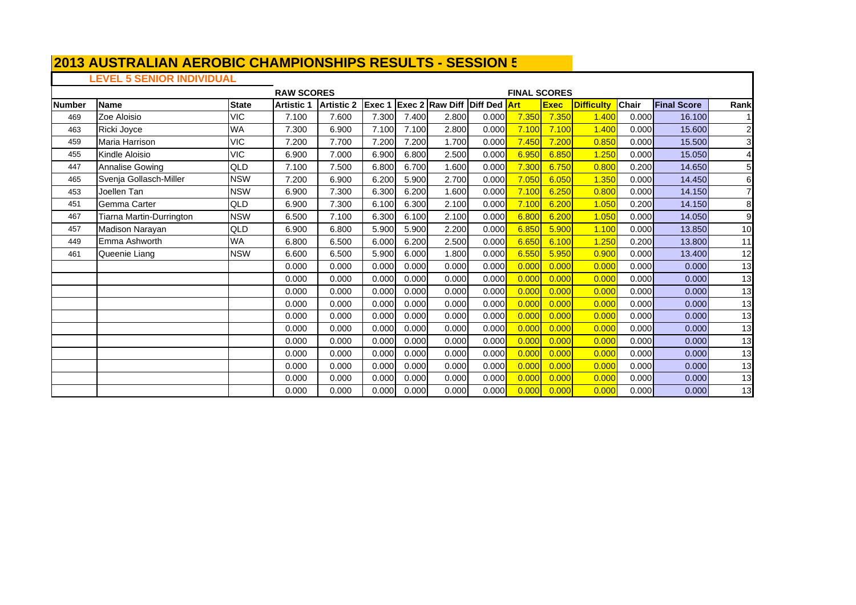# **LEVEL 5 SENIOR INDIVIDUAL**

|               |                          |              | <b>RAW SCORES</b> |                   |        |       |                                     |       | <b>FINAL SCORES</b> |             |                   |              |                    |                         |
|---------------|--------------------------|--------------|-------------------|-------------------|--------|-------|-------------------------------------|-------|---------------------|-------------|-------------------|--------------|--------------------|-------------------------|
| <b>Number</b> | <b>Name</b>              | <b>State</b> | <b>Artistic 1</b> | <b>Artistic 2</b> | Exec 1 |       | <b>Exec 2 Raw Diff Diff Ded Art</b> |       |                     | <b>Exec</b> | <b>Difficulty</b> | <b>Chair</b> | <b>Final Score</b> | Rank                    |
| 469           | Zoe Aloisio              | <b>VIC</b>   | 7.100             | 7.600             | 7.300  | 7.400 | 2.800                               | 0.000 | 7.350               | 7.350       | 1.400             | 0.000        | 16.100             |                         |
| 463           | Ricki Joyce              | <b>WA</b>    | 7.300             | 6.900             | 7.100  | 7.100 | 2.800                               | 0.000 | 7.100               | 7.100       | 1.400             | 0.000        | 15.600             | $\overline{\mathbf{c}}$ |
| 459           | Maria Harrison           | <b>VIC</b>   | 7.200             | 7.700             | 7.200  | 7.200 | 1.700                               | 0.000 | 7.450               | 7.200       | 0.850             | 0.000        | 15.500             | 3 <sup>l</sup>          |
| 455           | Kindle Aloisio           | <b>VIC</b>   | 6.900             | 7.000             | 6.900  | 6.800 | 2.500                               | 0.000 | 6.950               | 6.850       | 1.250             | 0.000        | 15.050             | 4                       |
| 447           | <b>Annalise Gowing</b>   | QLD          | 7.100             | 7.500             | 6.800  | 6.700 | 1.600                               | 0.000 | 7.300               | 6.750       | 0.800             | 0.200        | 14.650             | 5                       |
| 465           | Svenja Gollasch-Miller   | <b>NSW</b>   | 7.200             | 6.900             | 6.200  | 5.900 | 2.700                               | 0.000 | 7.050               | 6.050       | 1.350             | 0.000        | 14.450             | 6                       |
| 453           | Joellen Tan              | <b>NSW</b>   | 6.900             | 7.300             | 6.300  | 6.200 | 1.600                               | 0.000 | 7.100               | 6.250       | 0.800             | 0.000        | 14.150             | 7                       |
| 451           | Gemma Carter             | <b>QLD</b>   | 6.900             | 7.300             | 6.100  | 6.300 | 2.100                               | 0.000 | 7.100               | 6.200       | 1.050             | 0.200        | 14.150             | 8                       |
| 467           | Tiarna Martin-Durrington | <b>NSW</b>   | 6.500             | 7.100             | 6.300  | 6.100 | 2.100                               | 0.000 | 6.800               | 6.200       | 1.050             | 0.000        | 14.050             | 9                       |
| 457           | Madison Narayan          | QLD          | 6.900             | 6.800             | 5.900  | 5.900 | 2.200                               | 0.000 | 6.850               | 5.900       | 1.100             | 0.000        | 13.850             | 10                      |
| 449           | Emma Ashworth            | <b>WA</b>    | 6.800             | 6.500             | 6.000  | 6.200 | 2.500                               | 0.000 | 6.650               | 6.100       | 1.250             | 0.200        | 13.800             | 11                      |
| 461           | Queenie Liang            | <b>NSW</b>   | 6.600             | 6.500             | 5.900  | 6.000 | 1.800                               | 0.000 | 6.550               | 5.950       | 0.900             | 0.000        | 13.400             | 12                      |
|               |                          |              | 0.000             | 0.000             | 0.000  | 0.000 | 0.000                               | 0.000 | 0.000               | 0.000       | 0.000             | 0.000        | 0.000              | 13                      |
|               |                          |              | 0.000             | 0.000             | 0.000  | 0.000 | 0.000                               | 0.000 | 0.000               | 0.000       | 0.000             | 0.000        | 0.000              | 13                      |
|               |                          |              | 0.000             | 0.000             | 0.000  | 0.000 | 0.000                               | 0.000 | 0.000               | 0.000       | 0.000             | 0.000        | 0.000              | 13                      |
|               |                          |              | 0.000             | 0.000             | 0.000  | 0.000 | 0.000                               | 0.000 | 0.000               | 0.000       | 0.000             | 0.000        | 0.000              | 13                      |
|               |                          |              | 0.000             | 0.000             | 0.000  | 0.000 | 0.000                               | 0.000 | 0.000               | 0.000       | 0.000             | 0.000        | 0.000              | 13                      |
|               |                          |              | 0.000             | 0.000             | 0.000  | 0.000 | 0.000                               | 0.000 | 0.000               | 0.000       | 0.000             | 0.000        | 0.000              | 13                      |
|               |                          |              | 0.000             | 0.000             | 0.000  | 0.000 | 0.000                               | 0.000 | 0.000               | 0.000       | 0.000             | 0.000        | 0.000              | 13                      |
|               |                          |              | 0.000             | 0.000             | 0.000  | 0.000 | 0.000                               | 0.000 | 0.000               | 0.000       | 0.000             | 0.000        | 0.000              | 13                      |
|               |                          |              | 0.000             | 0.000             | 0.000  | 0.000 | 0.000                               | 0.000 | 0.000               | 0.000       | 0.000             | 0.000        | 0.000              | 13                      |
|               |                          |              | 0.000             | 0.000             | 0.000  | 0.000 | 0.000                               | 0.000 | 0.000               | 0.000       | 0.000             | 0.000        | 0.000              | 13                      |
|               |                          |              | 0.000             | 0.000             | 0.000  | 0.000 | 0.000                               | 0.000 | 0.000               | 0.000       | 0.000             | 0.000        | 0.000              | 13                      |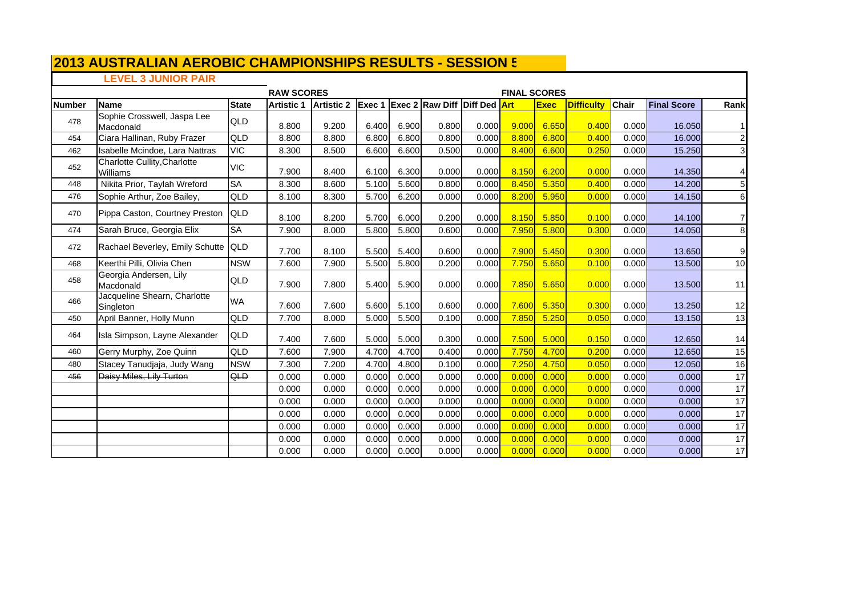## **LEVEL 3 JUNIOR PAIR**

 $\mathsf T$ 

|               |                                                        |              | <b>RAW SCORES</b> |                   |       |       |                                 |       | <b>FINAL SCORES</b> |             |                   |              |                    |                 |
|---------------|--------------------------------------------------------|--------------|-------------------|-------------------|-------|-------|---------------------------------|-------|---------------------|-------------|-------------------|--------------|--------------------|-----------------|
| <b>Number</b> | Name                                                   | <b>State</b> | <b>Artistic 1</b> | <b>Artistic 2</b> |       |       | Exec 1 Exec 2 Raw Diff Diff Ded |       | <b>Art</b>          | <b>Exec</b> | <b>Difficulty</b> | <b>Chair</b> | <b>Final Score</b> | Rank            |
| 478           | Sophie Crosswell, Jaspa Lee<br>Macdonald               | QLD          | 8.800             | 9.200             | 6.400 | 6.900 | 0.800                           | 0.000 | 9.000               | 6.650       | 0.400             | 0.000        | 16.050             |                 |
| 454           | Ciara Hallinan, Ruby Frazer                            | QLD          | 8.800             | 8.800             | 6.800 | 6.800 | 0.800                           | 0.000 | 8.800               | 6.800       | 0.400             | 0.000        | 16.000             | $\overline{c}$  |
| 462           | Isabelle Mcindoe, Lara Nattras                         | <b>VIC</b>   | 8.300             | 8.500             | 6.600 | 6.600 | 0.500                           | 0.000 | 8.400               | 6.600       | 0.250             | 0.000        | 15.250             | $\mathbf{3}$    |
| 452           | <b>Charlotte Cullity, Charlotte</b><br><b>Williams</b> | <b>VIC</b>   | 7.900             | 8.400             | 6.100 | 6.300 | 0.000                           | 0.000 | 8.150               | 6.200       | 0.000             | 0.000        | 14.350             | $\overline{4}$  |
| 448           | Nikita Prior, Taylah Wreford                           | SA           | 8.300             | 8.600             | 5.100 | 5.600 | 0.800                           | 0.000 | 8.450               | 5.350       | 0.400             | 0.000        | 14.200             | 5               |
| 476           | Sophie Arthur, Zoe Bailey,                             | QLD          | 8.100             | 8.300             | 5.700 | 6.200 | 0.000                           | 0.000 | 8.200               | 5.950       | 0.000             | 0.000        | 14.150             | $\,$ 6          |
| 470           | Pippa Caston, Courtney Preston                         | <b>QLD</b>   | 8.100             | 8.200             | 5.700 | 6.000 | 0.200                           | 0.000 | 8.150               | 5.850       | 0.100             | 0.000        | 14.100             | $\overline{7}$  |
| 474           | Sarah Bruce, Georgia Elix                              | <b>SA</b>    | 7.900             | 8.000             | 5.800 | 5.800 | 0.600                           | 0.000 | 7.950               | 5.800       | 0.300             | 0.000        | 14.050             | 8               |
| 472           | Rachael Beverley, Emily Schutte                        | <b>QLD</b>   | 7.700             | 8.100             | 5.500 | 5.400 | 0.600                           | 0.000 | 7.900               | 5.450       | 0.300             | 0.000        | 13.650             | $\overline{9}$  |
| 468           | Keerthi Pilli, Olivia Chen                             | <b>NSW</b>   | 7.600             | 7.900             | 5.500 | 5.800 | 0.200                           | 0.000 | 7.750               | 5.650       | 0.100             | 0.000        | 13.500             | 10              |
| 458           | Georgia Andersen, Lily<br>Macdonald                    | QLD          | 7.900             | 7.800             | 5.400 | 5.900 | 0.000                           | 0.000 | 7.850               | 5.650       | 0.000             | 0.000        | 13.500             | 11              |
| 466           | Jacqueline Shearn, Charlotte<br>Singleton              | <b>WA</b>    | 7.600             | 7.600             | 5.600 | 5.100 | 0.600                           | 0.000 | 7.600               | 5.350       | 0.300             | 0.000        | 13.250             | 12              |
| 450           | April Banner, Holly Munn                               | QLD          | 7.700             | 8.000             | 5.000 | 5.500 | 0.100                           | 0.000 | 7.850               | 5.250       | 0.050             | 0.000        | 13.150             | 13              |
| 464           | Isla Simpson, Layne Alexander                          | QLD          | 7.400             | 7.600             | 5.000 | 5.000 | 0.300                           | 0.000 | 7.500               | 5.000       | 0.150             | 0.000        | 12.650             | 14              |
| 460           | Gerry Murphy, Zoe Quinn                                | QLD          | 7.600             | 7.900             | 4.700 | 4.700 | 0.400                           | 0.000 | 7.750               | 4.700       | 0.200             | 0.000        | 12.650             | 15              |
| 480           | Stacey Tanudjaja, Judy Wang                            | <b>NSW</b>   | 7.300             | 7.200             | 4.700 | 4.800 | 0.100                           | 0.000 | 7.250               | 4.750       | 0.050             | 0.000        | 12.050             | 16              |
| 456           | Daisy Miles, Lily Turton                               | QLD          | 0.000             | 0.000             | 0.000 | 0.000 | 0.000                           | 0.000 | 0.000               | 0.000       | 0.000             | 0.000        | 0.000              | 17              |
|               |                                                        |              | 0.000             | 0.000             | 0.000 | 0.000 | 0.000                           | 0.000 | 0.000               | 0.000       | 0.000             | 0.000        | 0.000              | 17              |
|               |                                                        |              | 0.000             | 0.000             | 0.000 | 0.000 | 0.000                           | 0.000 | 0.000               | 0.000       | 0.000             | 0.000        | 0.000              | 17              |
|               |                                                        |              | 0.000             | 0.000             | 0.000 | 0.000 | 0.000                           | 0.000 | 0.000               | 0.000       | 0.000             | 0.000        | 0.000              | 17              |
|               |                                                        |              | 0.000             | 0.000             | 0.000 | 0.000 | 0.000                           | 0.000 | 0.000               | 0.000       | 0.000             | 0.000        | 0.000              | $\overline{17}$ |
|               |                                                        |              | 0.000             | 0.000             | 0.000 | 0.000 | 0.000                           | 0.000 | 0.000               | 0.000       | 0.000             | 0.000        | 0.000              | 17              |
|               |                                                        |              | 0.000             | 0.000             | 0.000 | 0.000 | 0.000                           | 0.000 | 0.000               | 0.000       | 0.000             | 0.000        | 0.000              | 17              |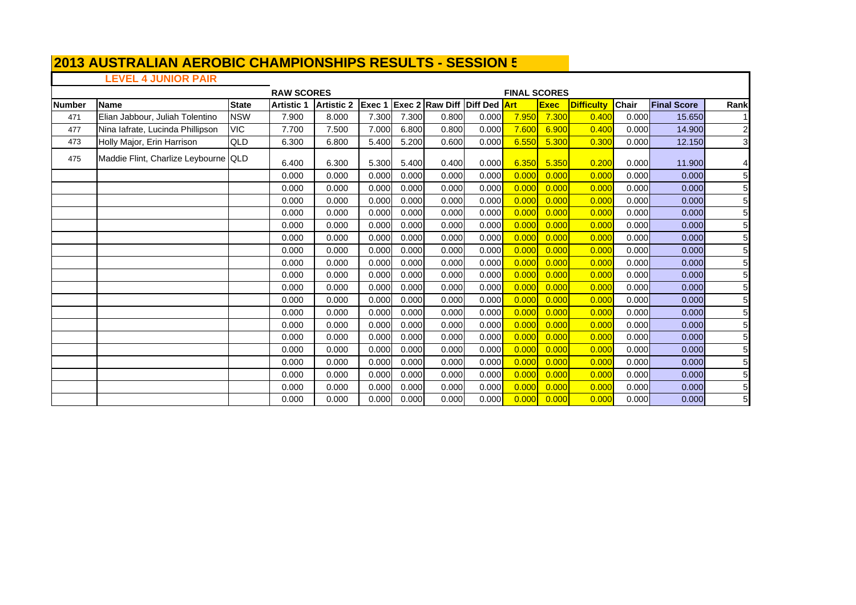# **LEVEL 4 JUNIOR PAIR**

|               |                                      |              | <b>RAW SCORES</b> |                   |        |       |                                     |       | <b>FINAL SCORES</b> |             |                   |              |                    |                         |
|---------------|--------------------------------------|--------------|-------------------|-------------------|--------|-------|-------------------------------------|-------|---------------------|-------------|-------------------|--------------|--------------------|-------------------------|
| <b>Number</b> | Name                                 | <b>State</b> | <b>Artistic 1</b> | <b>Artistic 2</b> | Exec 1 |       | <b>Exec 2 Raw Diff Diff Ded Art</b> |       |                     | <b>Exec</b> | <b>Difficulty</b> | <b>Chair</b> | <b>Final Score</b> | Rank                    |
| 471           | Elian Jabbour, Juliah Tolentino      | <b>NSW</b>   | 7.900             | 8.000             | 7.300  | 7.300 | 0.800                               | 0.000 | 7.950               | 7.300       | 0.400             | 0.000        | 15.650             |                         |
| 477           | Nina lafrate, Lucinda Phillipson     | <b>VIC</b>   | 7.700             | 7.500             | 7.000  | 6.800 | 0.800                               | 0.000 | 7.600               | 6.900       | 0.400             | 0.000        | 14.900             | 2                       |
| 473           | Holly Major, Erin Harrison           | QLD          | 6.300             | 6.800             | 5.400  | 5.200 | 0.600                               | 0.000 | 6.550               | 5.300       | 0.300             | 0.000        | 12.150             | $\overline{\mathbf{3}}$ |
| 475           | Maddie Flint, Charlize Leybourne QLD |              | 6.400             | 6.300             | 5.300  | 5.400 | 0.400                               | 0.000 | 6.350               | 5.350       | 0.200             | 0.000        | 11.900             | 4                       |
|               |                                      |              | 0.000             | 0.000             | 0.000  | 0.000 | 0.000                               | 0.000 | 0.000               | 0.000       | 0.000             | 0.000        | 0.000              | 5 <sub>l</sub>          |
|               |                                      |              | 0.000             | 0.000             | 0.000  | 0.000 | 0.000                               | 0.000 | 0.000               | 0.000       | 0.000             | 0.000        | 0.000              | 5                       |
|               |                                      |              | 0.000             | 0.000             | 0.000  | 0.000 | 0.000                               | 0.000 | 0.000               | 0.000       | 0.000             | 0.000        | 0.000              | 5                       |
|               |                                      |              | 0.000             | 0.000             | 0.000  | 0.000 | 0.000                               | 0.000 | 0.000               | 0.000       | 0.000             | 0.000        | 0.000              | 5                       |
|               |                                      |              | 0.000             | 0.000             | 0.000  | 0.000 | 0.000                               | 0.000 | 0.000               | 0.000       | 0.000             | 0.000        | 0.000              | 5                       |
|               |                                      |              | 0.000             | 0.000             | 0.000  | 0.000 | 0.000                               | 0.000 | 0.000               | 0.000       | 0.000             | 0.000        | 0.000              | 5                       |
|               |                                      |              | 0.000             | 0.000             | 0.000  | 0.000 | 0.000                               | 0.000 | 0.000               | 0.000       | 0.000             | 0.000        | 0.000              | $\overline{5}$          |
|               |                                      |              | 0.000             | 0.000             | 0.000  | 0.000 | 0.000                               | 0.000 | 0.000               | 0.000       | 0.000             | 0.000        | 0.000              | 5                       |
|               |                                      |              | 0.000             | 0.000             | 0.000  | 0.000 | 0.000                               | 0.000 | 0.000               | 0.000       | 0.000             | 0.000        | 0.000              | 5                       |
|               |                                      |              | 0.000             | 0.000             | 0.000  | 0.000 | 0.000                               | 0.000 | 0.000               | 0.000       | 0.000             | 0.000        | 0.000              | 5                       |
|               |                                      |              | 0.000             | 0.000             | 0.000  | 0.000 | 0.000                               | 0.000 | 0.000               | 0.000       | 0.000             | 0.000        | 0.000              | 5                       |
|               |                                      |              | 0.000             | 0.000             | 0.000  | 0.000 | 0.000                               | 0.000 | 0.000               | 0.000       | 0.000             | 0.000        | 0.000              | 5                       |
|               |                                      |              | 0.000             | 0.000             | 0.000  | 0.000 | 0.000                               | 0.000 | 0.000               | 0.000       | 0.000             | 0.000        | 0.000              | 5                       |
|               |                                      |              | 0.000             | 0.000             | 0.000  | 0.000 | 0.000                               | 0.000 | 0.000               | 0.000       | 0.000             | 0.000        | 0.000              | 5                       |
|               |                                      |              | 0.000             | 0.000             | 0.000  | 0.000 | 0.000                               | 0.000 | 0.000               | 0.000       | 0.000             | 0.000        | 0.000              | $\overline{5}$          |
|               |                                      |              | 0.000             | 0.000             | 0.000  | 0.000 | 0.000                               | 0.000 | 0.000               | 0.000       | 0.000             | 0.000        | 0.000              | 5                       |
|               |                                      |              | 0.000             | 0.000             | 0.000  | 0.000 | 0.000                               | 0.000 | 0.000               | 0.000       | 0.000             | 0.000        | 0.000              | 5                       |
|               |                                      |              | 0.000             | 0.000             | 0.000  | 0.000 | 0.000                               | 0.000 | 0.000               | 0.000       | 0.000             | 0.000        | 0.000              | 5                       |
|               |                                      |              | 0.000             | 0.000             | 0.000  | 0.000 | 0.000                               | 0.000 | 0.000               | 0.000       | 0.000             | 0.000        | 0.000              | 5                       |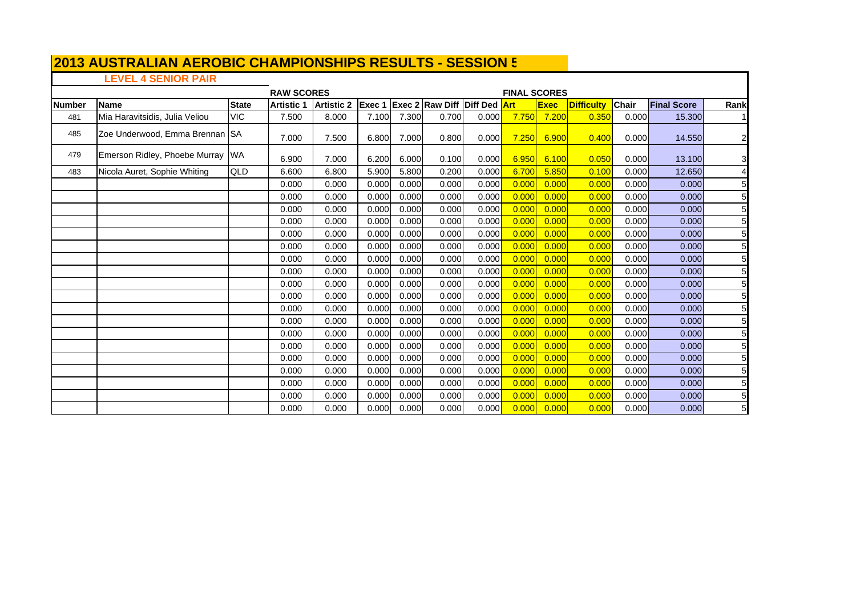## **LEVEL 4 SENIOR PAIR**

 $\mathsf T$ 

|               |                                |              | <b>RAW SCORES</b> |                                                |       |       |       |       | <b>FINAL SCORES</b> |             |                   |              |                    |                 |
|---------------|--------------------------------|--------------|-------------------|------------------------------------------------|-------|-------|-------|-------|---------------------|-------------|-------------------|--------------|--------------------|-----------------|
| <b>Number</b> | <b>Name</b>                    | <b>State</b> | <b>Artistic 1</b> | Artistic 2 Exec 1 Exec 2 Raw Diff Diff Ded Art |       |       |       |       |                     | <b>Exec</b> | <b>Difficulty</b> | <b>Chair</b> | <b>Final Score</b> | Rank            |
| 481           | Mia Haravitsidis, Julia Veliou | <b>VIC</b>   | 7.500             | 8.000                                          | 7.100 | 7.300 | 0.700 | 0.000 | 7.750               | 7.200       | 0.350             | 0.000        | 15.300             |                 |
| 485           | Zoe Underwood, Emma Brennan SA |              | 7.000             | 7.500                                          | 6.800 | 7.000 | 0.800 | 0.000 | 7.250               | 6.900       | 0.400             | 0.000        | 14.550             | $\mathbf{2}$    |
| 479           | Emerson Ridley, Phoebe Murray  | <b>WA</b>    | 6.900             | 7.000                                          | 6.200 | 6.000 | 0.100 | 0.000 | 6.950               | 6.100       | 0.050             | 0.000        | 13.100             | 3               |
| 483           | Nicola Auret, Sophie Whiting   | <b>QLD</b>   | 6.600             | 6.800                                          | 5.900 | 5.800 | 0.200 | 0.000 | 6.700               | 5.850       | 0.100             | 0.000        | 12.650             | 41              |
|               |                                |              | 0.000             | 0.000                                          | 0.000 | 0.000 | 0.000 | 0.000 | 0.000               | 0.000       | 0.000             | 0.000        | 0.000              | 5               |
|               |                                |              | 0.000             | 0.000                                          | 0.000 | 0.000 | 0.000 | 0.000 | 0.000               | 0.000       | 0.000             | 0.000        | 0.000              | 5 <sub>l</sub>  |
|               |                                |              | 0.000             | 0.000                                          | 0.000 | 0.000 | 0.000 | 0.000 | 0.000               | 0.000       | 0.000             | 0.000        | 0.000              | 5 <sub>l</sub>  |
|               |                                |              | 0.000             | 0.000                                          | 0.000 | 0.000 | 0.000 | 0.000 | 0.000               | 0.000       | 0.000             | 0.000        | 0.000              | 5 <sup>1</sup>  |
|               |                                |              | 0.000             | 0.000                                          | 0.000 | 0.000 | 0.000 | 0.000 | 0.000               | 0.000       | 0.000             | 0.000        | 0.000              | 5 <sub>l</sub>  |
|               |                                |              | 0.000             | 0.000                                          | 0.000 | 0.000 | 0.000 | 0.000 | 0.000               | 0.000       | 0.000             | 0.000        | 0.000              | $5\overline{a}$ |
|               |                                |              | 0.000             | 0.000                                          | 0.000 | 0.000 | 0.000 | 0.000 | 0.000               | 0.000       | 0.000             | 0.000        | 0.000              | 5 <sub>l</sub>  |
|               |                                |              | 0.000             | 0.000                                          | 0.000 | 0.000 | 0.000 | 0.000 | 0.000               | 0.000       | 0.000             | 0.000        | 0.000              | $5\overline{a}$ |
|               |                                |              | 0.000             | 0.000                                          | 0.000 | 0.000 | 0.000 | 0.000 | 0.000               | 0.000       | 0.000             | 0.000        | 0.000              | $5 \,$          |
|               |                                |              | 0.000             | 0.000                                          | 0.000 | 0.000 | 0.000 | 0.000 | 0.000               | 0.000       | 0.000             | 0.000        | 0.000              | 5 <sub>l</sub>  |
|               |                                |              | 0.000             | 0.000                                          | 0.000 | 0.000 | 0.000 | 0.000 | 0.000               | 0.000       | 0.000             | 0.000        | 0.000              | $5\overline{a}$ |
|               |                                |              | 0.000             | 0.000                                          | 0.000 | 0.000 | 0.000 | 0.000 | 0.000               | 0.000       | 0.000             | 0.000        | 0.000              | 5 <sub>l</sub>  |
|               |                                |              | 0.000             | 0.000                                          | 0.000 | 0.000 | 0.000 | 0.000 | 0.000               | 0.000       | 0.000             | 0.000        | 0.000              | $5\overline{a}$ |
|               |                                |              | 0.000             | 0.000                                          | 0.000 | 0.000 | 0.000 | 0.000 | 0.000               | 0.000       | 0.000             | 0.000        | 0.000              | $5 \,$          |
|               |                                |              | 0.000             | 0.000                                          | 0.000 | 0.000 | 0.000 | 0.000 | 0.000               | 0.000       | 0.000             | 0.000        | 0.000              | 5 <sub>l</sub>  |
|               |                                |              | 0.000             | 0.000                                          | 0.000 | 0.000 | 0.000 | 0.000 | 0.000               | 0.000       | 0.000             | 0.000        | 0.000              | $5\overline{a}$ |
|               |                                |              | 0.000             | 0.000                                          | 0.000 | 0.000 | 0.000 | 0.000 | 0.000               | 0.000       | 0.000             | 0.000        | 0.000              | 5 <sub>l</sub>  |
|               |                                |              | 0.000             | 0.000                                          | 0.000 | 0.000 | 0.000 | 0.000 | 0.000               | 0.000       | 0.000             | 0.000        | 0.000              | 5 <sub>l</sub>  |
|               |                                |              | 0.000             | 0.000                                          | 0.000 | 0.000 | 0.000 | 0.000 | 0.000               | 0.000       | 0.000             | 0.000        | 0.000              | 5 <sub>l</sub>  |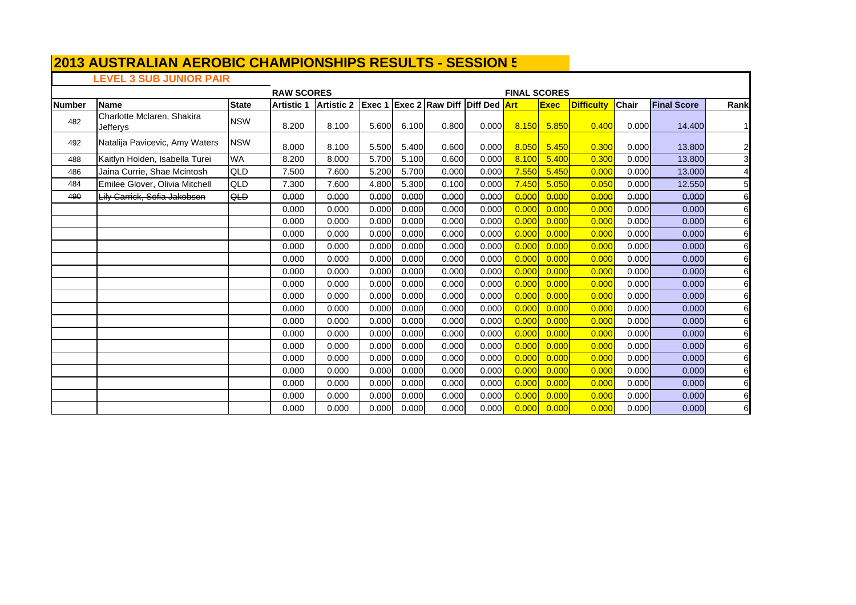## **LEVEL 3 SUB JUNIOR PAIR**

 $\mathsf{r}$ 

|               |                                        |              | <b>RAW SCORES</b> |                                                |       |       |       |       | <b>FINAL SCORES</b> |             |                   |              |                    |                 |
|---------------|----------------------------------------|--------------|-------------------|------------------------------------------------|-------|-------|-------|-------|---------------------|-------------|-------------------|--------------|--------------------|-----------------|
| <b>Number</b> | <b>Name</b>                            | <b>State</b> | <b>Artistic 1</b> | Artistic 2 Exec 1 Exec 2 Raw Diff Diff Ded Art |       |       |       |       |                     | <b>Exec</b> | <b>Difficulty</b> | <b>Chair</b> | <b>Final Score</b> | Rank            |
| 482           | Charlotte Mclaren, Shakira<br>Jefferys | <b>NSW</b>   | 8.200             | 8.100                                          | 5.600 | 6.100 | 0.800 | 0.000 | 8.150               | 5.850       | 0.400             | 0.000        | 14.400             | 11              |
| 492           | Natalija Pavicevic, Amy Waters         | <b>NSW</b>   | 8.000             | 8.100                                          | 5.500 | 5.400 | 0.600 | 0.000 | 8.050               | 5.450       | 0.300             | 0.000        | 13.800             | $\overline{2}$  |
| 488           | Kaitlyn Holden, Isabella Turei         | <b>WA</b>    | 8.200             | 8.000                                          | 5.700 | 5.100 | 0.600 | 0.000 | 8.100               | 5.400       | 0.300             | 0.000        | 13.800             | $\overline{3}$  |
| 486           | Jaina Currie, Shae Mcintosh            | QLD          | 7.500             | 7.600                                          | 5.200 | 5.700 | 0.000 | 0.000 | 7.550               | 5.450       | 0.000             | 0.000        | 13.000             | 4               |
| 484           | Emilee Glover, Olivia Mitchell         | QLD          | 7.300             | 7.600                                          | 4.800 | 5.300 | 0.100 | 0.000 | 7.450               | 5.050       | 0.050             | 0.000        | 12.550             | $\overline{5}$  |
| 490           | Lily Carrick, Sofia Jakobsen           | QLD          | 0.000             | 0.000                                          | 0.000 | 0.000 | 0.000 | 0.000 | 0.000               | 0.000       | 0.000             | 0.000        | 0.000              | 6               |
|               |                                        |              | 0.000             | 0.000                                          | 0.000 | 0.000 | 0.000 | 0.000 | 0.000               | 0.000       | 0.000             | 0.000        | 0.000              | 6               |
|               |                                        |              | 0.000             | 0.000                                          | 0.000 | 0.000 | 0.000 | 0.000 | 0.000               | 0.000       | 0.000             | 0.000        | 0.000              | 6               |
|               |                                        |              | 0.000             | 0.000                                          | 0.000 | 0.000 | 0.000 | 0.000 | 0.000               | 0.000       | 0.000             | 0.000        | 0.000              | 6               |
|               |                                        |              | 0.000             | 0.000                                          | 0.000 | 0.000 | 0.000 | 0.000 | 0.000               | 0.000       | 0.000             | 0.000        | 0.000              | 6               |
|               |                                        |              | 0.000             | 0.000                                          | 0.000 | 0.000 | 0.000 | 0.000 | 0.000               | 0.000       | 0.000             | 0.000        | 0.000              | 6               |
|               |                                        |              | 0.000             | 0.000                                          | 0.000 | 0.000 | 0.000 | 0.000 | 0.000               | 0.000       | 0.000             | 0.000        | 0.000              | 6               |
|               |                                        |              | 0.000             | 0.000                                          | 0.000 | 0.000 | 0.000 | 0.000 | 0.000               | 0.000       | 0.000             | 0.000        | 0.000              | 6               |
|               |                                        |              | 0.000             | 0.000                                          | 0.000 | 0.000 | 0.000 | 0.000 | 0.000               | 0.000       | 0.000             | 0.000        | 0.000              | 6               |
|               |                                        |              | 0.000             | 0.000                                          | 0.000 | 0.000 | 0.000 | 0.000 | 0.000               | 0.000       | 0.000             | 0.000        | 0.000              | 6               |
|               |                                        |              | 0.000             | 0.000                                          | 0.000 | 0.000 | 0.000 | 0.000 | 0.000               | 0.000       | 0.000             | 0.000        | 0.000              | 6               |
|               |                                        |              | 0.000             | 0.000                                          | 0.000 | 0.000 | 0.000 | 0.000 | 0.000               | 0.000       | 0.000             | 0.000        | 0.000              | 6               |
|               |                                        |              | 0.000             | 0.000                                          | 0.000 | 0.000 | 0.000 | 0.000 | 0.000               | 0.000       | 0.000             | 0.000        | 0.000              | 6               |
|               |                                        |              | 0.000             | 0.000                                          | 0.000 | 0.000 | 0.000 | 0.000 | 0.000               | 0.000       | 0.000             | 0.000        | 0.000              | 6               |
|               |                                        |              | 0.000             | 0.000                                          | 0.000 | 0.000 | 0.000 | 0.000 | 0.000               | 0.000       | 0.000             | 0.000        | 0.000              | 6               |
|               |                                        |              | 0.000             | 0.000                                          | 0.000 | 0.000 | 0.000 | 0.000 | 0.000               | 0.000       | 0.000             | 0.000        | 0.000              | 6               |
|               |                                        |              | 0.000             | 0.000                                          | 0.000 | 0.000 | 0.000 | 0.000 | 0.000               | 0.000       | 0.000             | 0.000        | 0.000              | $6 \overline{}$ |
|               |                                        |              | 0.000             | 0.000                                          | 0.000 | 0.000 | 0.000 | 0.000 | 0.000               | 0.000       | 0.000             | 0.000        | 0.000              | $\mathbf 6$     |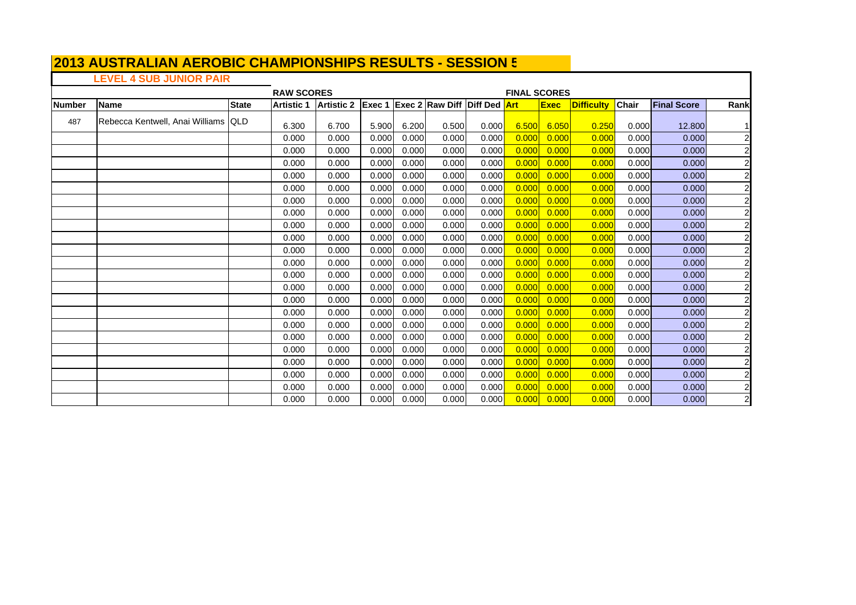# **LEVEL 4 SUB JUNIOR PAIR**

|               |                                     |              | <b>RAW SCORES</b><br><b>FINAL SCORES</b><br> Artistic 2  Exec 1  Exec 2  Raw Diff  Diff Ded <mark> Art</mark> |       |       |       |       |       |       |             |                   |              |                    |                         |
|---------------|-------------------------------------|--------------|---------------------------------------------------------------------------------------------------------------|-------|-------|-------|-------|-------|-------|-------------|-------------------|--------------|--------------------|-------------------------|
| <b>Number</b> | <b>Name</b>                         | <b>State</b> | <b>Artistic 1</b>                                                                                             |       |       |       |       |       |       | <b>Exec</b> | <b>Difficulty</b> | <b>Chair</b> | <b>Final Score</b> | Rank                    |
| 487           | Rebecca Kentwell, Anai Williams QLD |              | 6.300                                                                                                         | 6.700 | 5.900 | 6.200 | 0.500 | 0.000 | 6.500 | 6.050       | 0.250             | 0.000        | 12,800             |                         |
|               |                                     |              | 0.000                                                                                                         | 0.000 | 0.000 | 0.000 | 0.000 | 0.000 | 0.000 | 0.000       | 0.000             | 0.000        | 0.000              | $\overline{2}$          |
|               |                                     |              | 0.000                                                                                                         | 0.000 | 0.000 | 0.000 | 0.000 | 0.000 | 0.000 | 0.000       | 0.000             | 0.000        | 0.000              | $\overline{c}$          |
|               |                                     |              | 0.000                                                                                                         | 0.000 | 0.000 | 0.000 | 0.000 | 0.000 | 0.000 | 0.000       | 0.000             | 0.000        | 0.000              | $\overline{2}$          |
|               |                                     |              | 0.000                                                                                                         | 0.000 | 0.000 | 0.000 | 0.000 | 0.000 | 0.000 | 0.000       | 0.000             | 0.000        | 0.000              | $\overline{c}$          |
|               |                                     |              | 0.000                                                                                                         | 0.000 | 0.000 | 0.000 | 0.000 | 0.000 | 0.000 | 0.000       | 0.000             | 0.000        | 0.000              | $\overline{2}$          |
|               |                                     |              | 0.000                                                                                                         | 0.000 | 0.000 | 0.000 | 0.000 | 0.000 | 0.000 | 0.000       | 0.000             | 0.000        | 0.000              | $\overline{c}$          |
|               |                                     |              | 0.000                                                                                                         | 0.000 | 0.000 | 0.000 | 0.000 | 0.000 | 0.000 | 0.000       | 0.000             | 0.000        | 0.000              | $\overline{c}$          |
|               |                                     |              | 0.000                                                                                                         | 0.000 | 0.000 | 0.000 | 0.000 | 0.000 | 0.000 | 0.000       | 0.000             | 0.000        | 0.000              | $\overline{c}$          |
|               |                                     |              | 0.000                                                                                                         | 0.000 | 0.000 | 0.000 | 0.000 | 0.000 | 0.000 | 0.000       | 0.000             | 0.000        | 0.000              | $\overline{2}$          |
|               |                                     |              | 0.000                                                                                                         | 0.000 | 0.000 | 0.000 | 0.000 | 0.000 | 0.000 | 0.000       | 0.000             | 0.000        | 0.000              | $\overline{c}$          |
|               |                                     |              | 0.000                                                                                                         | 0.000 | 0.000 | 0.000 | 0.000 | 0.000 | 0.000 | 0.000       | 0.000             | 0.000        | 0.000              | $\overline{c}$          |
|               |                                     |              | 0.000                                                                                                         | 0.000 | 0.000 | 0.000 | 0.000 | 0.000 | 0.000 | 0.000       | 0.000             | 0.000        | 0.000              | $\overline{c}$          |
|               |                                     |              | 0.000                                                                                                         | 0.000 | 0.000 | 0.000 | 0.000 | 0.000 | 0.000 | 0.000       | 0.00C             | 0.000        | 0.000              | $\overline{c}$          |
|               |                                     |              | 0.000                                                                                                         | 0.000 | 0.000 | 0.000 | 0.000 | 0.000 | 0.000 | 0.000       | 0.000             | 0.000        | 0.000              | $\overline{c}$          |
|               |                                     |              | 0.000                                                                                                         | 0.000 | 0.000 | 0.000 | 0.000 | 0.000 | 0.000 | 0.000       | 0.000             | 0.000        | 0.000              | $\overline{2}$          |
|               |                                     |              | 0.000                                                                                                         | 0.000 | 0.000 | 0.000 | 0.000 | 0.000 | 0.000 | 0.000       | 0.000             | 0.000        | 0.000              | $\overline{c}$          |
|               |                                     |              | 0.000                                                                                                         | 0.000 | 0.000 | 0.000 | 0.000 | 0.000 | 0.000 | 0.000       | 0.000             | 0.000        | 0.000              | $\overline{c}$          |
|               |                                     |              | 0.000                                                                                                         | 0.000 | 0.000 | 0.000 | 0.000 | 0.000 | 0.000 | 0.000       | 0.000             | 0.000        | 0.000              | $\overline{c}$          |
|               |                                     |              | 0.000                                                                                                         | 0.000 | 0.000 | 0.000 | 0.000 | 0.000 | 0.000 | 0.000       | 0.000             | 0.000        | 0.000              | $\overline{\mathbf{c}}$ |
|               |                                     |              | 0.000                                                                                                         | 0.000 | 0.000 | 0.000 | 0.000 | 0.000 | 0.000 | 0.000       | 0.000             | 0.000        | 0.000              | $\overline{2}$          |
|               |                                     |              | 0.000                                                                                                         | 0.000 | 0.000 | 0.000 | 0.000 | 0.000 | 0.000 | 0.000       | 0.000             | 0.000        | 0.000              | $\overline{\mathbf{c}}$ |
|               |                                     |              | 0.000                                                                                                         | 0.000 | 0.000 | 0.000 | 0.000 | 0.000 | 0.000 | 0.000       | 0.000             | 0.000        | 0.000              | $\overline{c}$          |